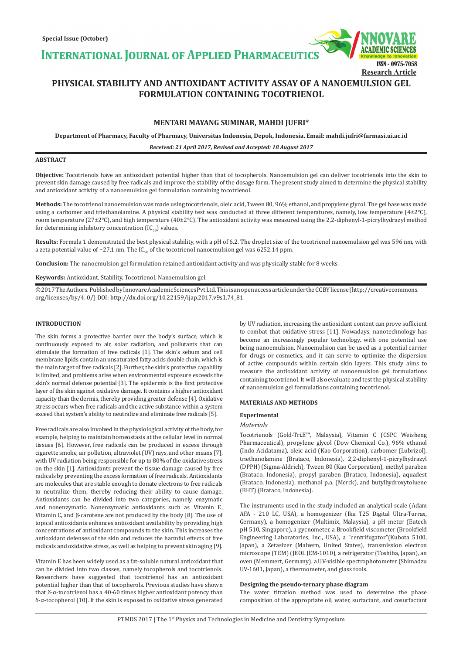**INTERNATIONAL JOURNAL OF APPLIED PHARMACEUTICS** 

# **PHYSICAL STABILITY AND ANTIOXIDANT ACTIVITY ASSAY OF A NANOEMULSION GEL FORMULATION CONTAINING TOCOTRIENOL**

# **MENTARI MAYANG SUMINAR, MAHDI JUFRI\***

**Department of Pharmacy, Faculty of Pharmacy, Universitas Indonesia, Depok, Indonesia. Email: mahdi.jufri@farmasi.ui.ac.id**

*Received: 21 April 2017, Revised and Accepted: 18 August 2017*

#### **ABSTRACT**

**Objective:** Tocotrienols have an antioxidant potential higher than that of tocopherols. Nanoemulsion gel can deliver tocotrienols into the skin to prevent skin damage caused by free radicals and improve the stability of the dosage form. The present study aimed to determine the physical stability and antioxidant activity of a nanoemulsion gel formulation containing tocotrienol.

**Methods:** The tocotrienol nanoemulsion was made using tocotrienols, oleic acid, Tween 80, 96% ethanol, and propylene glycol. The gel base was made using a carbomer and triethanolamine. A physical stability test was conducted at three different temperatures, namely, low temperature (4±2°C), room temperature (27±2°C), and high temperature (40±2°C). The antioxidant activity was measured using the 2,2-diphenyl-1-picrylhydrazyl method for determining inhibitory concentration  $(IC_{50})$  values.

**Results:** Formula 1 demonstrated the best physical stability, with a pH of 6.2. The droplet size of the tocotrienol nanoemulsion gel was 596 nm, with a zeta potential value of −27.1 nm. The  $IC_{50}$  of the tocotrienol nanoemulsion gel was 6252.14 ppm.

**Conclusion:** The nanoemulsion gel formulation retained antioxidant activity and was physically stable for 8 weeks.

**Keywords:** Antioxidant, Stability, Tocotrienol, Nanoemulsion gel.

© 2017 The Authors. Published by Innovare Academic Sciences Pvt Ltd. This is an open access article under the CC BY license (http://creativecommons. org/licenses/by/4. 0/) DOI: http://dx.doi.org/10.22159/ijap.2017.v9s1.74\_81

#### **INTRODUCTION**

The skin forms a protective barrier over the body's surface, which is continuously exposed to air, solar radiation, and pollutants that can stimulate the formation of free radicals [1]. The skin's sebum and cell membrane lipids contain an unsaturated fatty acids double chain, which is the main target of free radicals [2]. Further, the skin's protective capability is limited, and problems arise when environmental exposure exceeds the skin's normal defense potential [3]. The epidermis is the first protective layer of the skin against oxidative damage. It contains a higher antioxidant capacity than the dermis, thereby providing greater defense [4]. Oxidative stress occurs when free radicals and the active substance within a system exceed that system's ability to neutralize and eliminate free radicals [5].

Free radicals are also involved in the physiological activity of the body, for example, helping to maintain homeostasis at the cellular level in normal tissues [6]. However, free radicals can be produced in excess through cigarette smoke, air pollution, ultraviolet (UV) rays, and other means [7], with UV radiation being responsible for up to 80% of the oxidative stress on the skin [1]. Antioxidants prevent the tissue damage caused by free radicals by preventing the excess formation of free radicals. Antioxidants are molecules that are stable enough to donate electrons to free radicals to neutralize them, thereby reducing their ability to cause damage. Antioxidants can be divided into two categories, namely, enzymatic and nonenzymatic. Nonenzymatic antioxidants such as Vitamin E, Vitamin C, and β-carotene are not produced by the body [8]. The use of topical antioxidants enhances antioxidant availability by providing high concentrations of antioxidant compounds to the skin. This increases the antioxidant defenses of the skin and reduces the harmful effects of free radicals and oxidative stress, as well as helping to prevent skin aging [9].

Vitamin E has been widely used as a fat-soluble natural antioxidant that can be divided into two classes, namely tocopherols and tocotrienols. Researchers have suggested that tocotrienol has an antioxidant potential higher than that of tocopherols. Previous studies have shown that δ-α-tocotrienol has a 40-60 times higher antioxidant potency than δ-α-tocopherol [10]. If the skin is exposed to oxidative stress generated by UV radiation, increasing the antioxidant content can prove sufficient to combat that oxidative stress [11]. Nowadays, nanotechnology has become an increasingly popular technology, with one potential use being nanoemulsion. Nanoemulsion can be used as a potential carrier for drugs or cosmetics, and it can serve to optimize the dispersion of active compounds within certain skin layers. This study aims to measure the antioxidant activity of nanoemulsion gel formulations containing tocotrienol. It will also evaluate and test the physical stability of nanoemulsion gel formulations containing tocotrienol.

ISSN - 0975-7058

**Research Article**

#### **MATERIALS AND METHODS**

#### **Experimental**

# *Materials*

Tocotrienols (Gold-Tri.E™, Malaysia), Vitamin C (CSPC Weisheng Pharmaceutical), propylene glycol (Dow Chemical Co.), 96% ethanol (Indo Acidatama), oleic acid (Kao Corporation), carbomer (Lubrizol), triethanolamine (Brataco, Indonesia), 2,2-diphenyl-1-picrylhydrazyl (DPPH) (Sigma-Aldrich), Tween 80 (Kao Corporation), methyl paraben (Brataco, Indonesia), propyl paraben (Brataco, Indonesia), aquadest (Brataco, Indonesia), methanol p.a. (Merck), and butylhydroxytoluene (BHT) (Brataco, Indonesia).

The instruments used in the study included an analytical scale (Adam AFA - 210 LC, USA), a homogenizer (Ika T25 Digital Ultra-Turrax, Germany), a homogenizer (Multimix, Malaysia), a pH meter (Eutech pH 510, Singapore), a pycnometer, a Brookfield viscometer (Brookfield Engineering Laboratories, Inc., USA), a "centrifugator"(Kubota 5100, Japan), a Zetasizer (Malvern, United States), transmission electron microscope (TEM) (JEOL JEM-1010), a refrigerator (Toshiba, Japan), an oven (Memmert, Germany), a UV-visible spectrophotometer (Shimadzu UV-1601, Japan), a thermometer, and glass tools.

# **Designing the pseudo-ternary phase diagram**

The water titration method was used to determine the phase composition of the appropriate oil, water, surfactant, and cosurfactant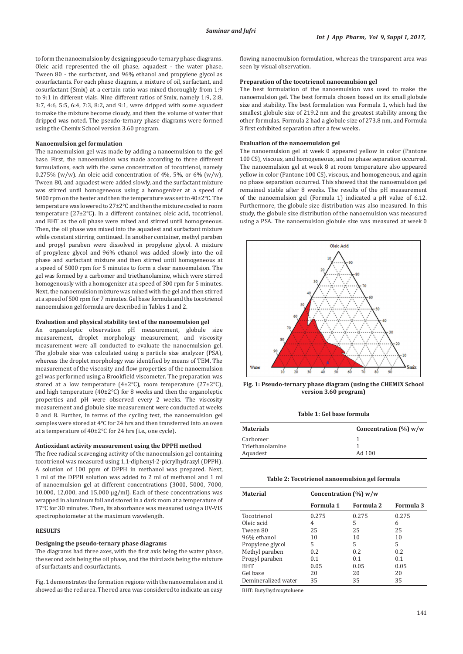to form the nanoemulsion by designing pseudo-ternary phase diagrams. Oleic acid represented the oil phase, aquadest - the water phase, Tween 80 - the surfactant, and 96% ethanol and propylene glycol as cosurfactants. For each phase diagram, a mixture of oil, surfactant, and cosurfactant (Smix) at a certain ratio was mixed thoroughly from 1:9 to 9:1 in different vials. Nine different ratios of Smix, namely 1:9, 2:8, 3:7, 4:6, 5:5, 6:4, 7:3, 8:2, and 9:1, were dripped with some aquadest to make the mixture become cloudy, and then the volume of water that dripped was noted. The pseudo-ternary phase diagrams were formed using the Chemix School version 3.60 program.

## **Nanoemulsion gel formulation**

The nanoemulsion gel was made by adding a nanoemulsion to the gel base. First, the nanoemulsion was made according to three different formulations, each with the same concentration of tocotrienol, namely 0.275% (w/w). An oleic acid concentration of 4%, 5%, or 6% (w/w), Tween 80, and aquadest were added slowly, and the surfactant mixture was stirred until homogeneous using a homogenizer at a speed of 5000 rpm on the heater and then the temperature was set to 40±2°C. The temperature was lowered to 27±2°C and then the mixture cooled to room temperature (27±2°C). In a different container, oleic acid, tocotrienol, and BHT as the oil phase were mixed and stirred until homogeneous. Then, the oil phase was mixed into the aquadest and surfactant mixture while constant stirring continued. In another container, methyl paraben and propyl paraben were dissolved in propylene glycol. A mixture of propylene glycol and 96% ethanol was added slowly into the oil phase and surfactant mixture and then stirred until homogeneous at a speed of 5000 rpm for 5 minutes to form a clear nanoemulsion. The gel was formed by a carbomer and triethanolamine, which were stirred homogenously with a homogenizer at a speed of 300 rpm for 5 minutes. Next, the nanoemulsion mixture was mixed with the gel and then stirred at a speed of 500 rpm for 7 minutes. Gel base formula and the tocotrienol nanoemulsion gel formula are described in Tables 1 and 2.

#### **Evaluation and physical stability test of the nanoemulsion gel**

An organoleptic observation pH measurement, globule size measurement, droplet morphology measurement, and viscosity measurement were all conducted to evaluate the nanoemulsion gel. The globule size was calculated using a particle size analyzer (PSA), whereas the droplet morphology was identified by means of TEM. The measurement of the viscosity and flow properties of the nanoemulsion gel was performed using a Brookfield viscometer. The preparation was stored at a low temperature (4±2 $^{\circ}$ C), room temperature (27±2 $^{\circ}$ C), and high temperature (40±2°C) for 8 weeks and then the organoleptic properties and pH were observed every 2 weeks. The viscosity measurement and globule size measurement were conducted at weeks 0 and 8. Further, in terms of the cycling test, the nanoemulsion gel samples were stored at 4°C for 24 hrs and then transferred into an oven at a temperature of 40±2°C for 24 hrs (i.e., one cycle).

# **Antioxidant activity measurement using the DPPH method**

The free radical scavenging activity of the nanoemulsion gel containing tocotrienol was measured using 1,1-diphenyl-2-picrylhydrazyl (DPPH). A solution of 100 ppm of DPPH in methanol was prepared. Next, 1 ml of the DPPH solution was added to 2 ml of methanol and 1 ml of nanoemulsion gel at different concentrations (3000, 5000, 7000, 10,000, 12,000, and 15,000 µg/ml). Each of these concentrations was wrapped in aluminum foil and stored in a dark room at a temperature of 37°C for 30 minutes. Then, its absorbance was measured using a UV-VIS spectrophotometer at the maximum wavelength.

#### **RESULTS**

#### **Designing the pseudo-ternary phase diagrams**

The diagrams had three axes, with the first axis being the water phase, the second axis being the oil phase, and the third axis being the mixture of surfactants and cosurfactants.

Fig. 1 demonstrates the formation regions with the nanoemulsion and it showed as the red area. The red area was considered to indicate an easy

flowing nanoemulsion formulation, whereas the transparent area was seen by visual observation.

## **Preparation of the tocotrienol nanoemulsion gel**

The best formulation of the nanoemulsion was used to make the nanoemulsion gel. The best formula chosen based on its small globule size and stability. The best formulation was Formula 1, which had the smallest globule size of 219.2 nm and the greatest stability among the other formulas. Formula 2 had a globule size of 273.8 nm, and Formula 3 first exhibited separation after a few weeks.

## **Evaluation of the nanoemulsion gel**

The nanoemulsion gel at week 0 appeared yellow in color (Pantone 100 CS), viscous, and homogeneous, and no phase separation occurred. The nanoemulsion gel at week 8 at room temperature also appeared yellow in color (Pantone 100 CS), viscous, and homogeneous, and again no phase separation occurred. This showed that the nanoemulsion gel remained stable after 8 weeks. The results of the pH measurement of the nanoemulsion gel (Formula 1) indicated a pH value of 6.12. Furthermore, the globule size distribution was also measured. In this study, the globule size distribution of the nanoemulsion was measured using a PSA. The nanoemulsion globule size was measured at week 0



**Fig. 1: Pseudo-ternary phase diagram (using the CHEMIX School version 3.60 program)**

**Table 1: Gel base formula**

| <b>Materials</b> | Concentration $(\%)$ w/w |
|------------------|--------------------------|
| Carbomer         |                          |
| Triethanolamine  |                          |
| Aquadest         | Ad 100                   |

**Table 2: Tocotrienol nanoemulsion gel formula**

| <b>Material</b>     | Concentration $(\%)$ w/w |           |           |
|---------------------|--------------------------|-----------|-----------|
|                     | Formula 1                | Formula 2 | Formula 3 |
| Tocotrienol         | 0.275                    | 0.275     | 0.275     |
| Oleic acid          | 4                        | 5         | 6         |
| Tween 80            | 25                       | 25        | 25        |
| 96% ethanol         | 10                       | 10        | 10        |
| Propylene glycol    | 5                        | 5         | 5         |
| Methyl paraben      | 0.2                      | 0.2       | 0.2       |
| Propyl paraben      | 0.1                      | 0.1       | 0.1       |
| <b>BHT</b>          | 0.05                     | 0.05      | 0.05      |
| Gel base            | 20                       | 20        | 20        |
| Demineralized water | 35                       | 35        | 35        |

BHT: Butylhydroxytoluene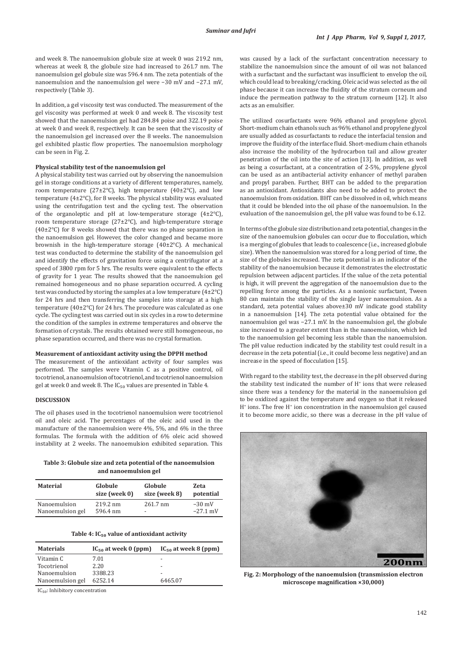and week 8. The nanoemulsion globule size at week 0 was 219.2 nm, whereas at week 8, the globule size had increased to 261.7 nm. The nanoemulsion gel globule size was 596.4 nm. The zeta potentials of the nanoemulsion and the nanoemulsion gel were −30 mV and −27.1 mV, respectively (Table 3).

In addition, a gel viscosity test was conducted. The measurement of the gel viscosity was performed at week 0 and week 8. The viscosity test showed that the nanoemulsion gel had 284.84 poise and 322.19 poise at week 0 and week 8, respectively. It can be seen that the viscosity of the nanoemulsion gel increased over the 8 weeks. The nanoemulsion gel exhibited plastic flow properties. The nanoemulsion morphology can be seen in Fig. 2.

# **Physical stability test of the nanoemulsion gel**

A physical stability test was carried out by observing the nanoemulsion gel in storage conditions at a variety of different temperatures, namely, room temperature (27±2°C), high temperature (40±2°C), and low temperature (4±2°C), for 8 weeks. The physical stability was evaluated using the centrifugation test and the cycling test. The observation of the organoleptic and pH at low-temperature storage  $(4\pm2^{\circ}C)$ , room temperature storage (27±2°C), and high-temperature storage (40±2°C) for 8 weeks showed that there was no phase separation in the nanoemulsion gel. However, the color changed and became more brownish in the high-temperature storage (40±2°C). A mechanical test was conducted to determine the stability of the nanoemulsion gel and identify the effects of gravitation force using a centrifugator at a speed of 3800 rpm for 5 hrs. The results were equivalent to the effects of gravity for 1 year. The results showed that the nanoemulsion gel remained homogeneous and no phase separation occurred. A cycling test was conducted by storing the samples at a low temperature (4±2°C) for 24 hrs and then transferring the samples into storage at a high temperature (40±2°C) for 24 hrs. The procedure was calculated as one cycle. The cycling test was carried out in six cycles in a row to determine the condition of the samples in extreme temperatures and observe the formation of crystals. The results obtained were still homogeneous, no phase separation occurred, and there was no crystal formation.

# **Measurement of antioxidant activity using the DPPH method**

The measurement of the antioxidant activity of four samples was performed. The samples were Vitamin C as a positive control, oil tocotrienol, a nanoemulsion of tocotrienol, and tocotrienol nanoemulsion gel at week 0 and week 8. The  $IC_{50}$  values are presented in Table 4.

#### **DISCUSSION**

The oil phases used in the tocotrienol nanoemulsion were tocotrienol oil and oleic acid. The percentages of the oleic acid used in the manufacture of the nanoemulsion were 4%, 5%, and 6% in the three formulas. The formula with the addition of 6% oleic acid showed instability at 2 weeks. The nanoemulsion exhibited separation. This

**Table 3: Globule size and zeta potential of the nanoemulsion and nanoemulsion gel**

| <b>Material</b>  | Globule       | Globule                  | <b>Zeta</b> |
|------------------|---------------|--------------------------|-------------|
|                  | size (week 0) | size (week 8)            | potential   |
| Nanoemulsion     | 219.2 nm      | $261.7 \text{ nm}$       | $-30$ mV    |
| Nanoemulsion gel | 596.4 nm      | $\overline{\phantom{a}}$ | $-27.1$ mV  |

#### **Table 4: IC₅₀ value of antioxidant activity**

| <b>Materials</b> | $IC_{50}$ at week 0 (ppm) | $IC_{50}$ at week 8 (ppm) |
|------------------|---------------------------|---------------------------|
| Vitamin C        | 7.01                      | -                         |
| Tocotrienol      | 2.20                      | $\overline{\phantom{0}}$  |
| Nanoemulsion     | 3388.23                   | $\overline{\phantom{0}}$  |
| Nanoemulsion gel | 6252.14                   | 6465.07                   |

IC<sub>50</sub>: Inhibitory concentration

was caused by a lack of the surfactant concentration necessary to stabilize the nanoemulsion since the amount of oil was not balanced with a surfactant and the surfactant was insufficient to envelop the oil, which could lead to breaking/cracking. Oleic acid was selected as the oil phase because it can increase the fluidity of the stratum corneum and induce the permeation pathway to the stratum corneum [12]. It also acts as an emulsifier.

The utilized cosurfactants were 96% ethanol and propylene glycol. Short-medium chain ethanols such as 96% ethanol and propylene glycol are usually added as cosurfactants to reduce the interfacial tension and improve the fluidity of the interface fluid. Short-medium chain ethanols also increase the mobility of the hydrocarbon tail and allow greater penetration of the oil into the site of action [13]. In addition, as well as being a cosurfactant, at a concentration of 2-5%, propylene glycol can be used as an antibacterial activity enhancer of methyl paraben and propyl paraben. Further, BHT can be added to the preparation as an antioxidant. Antioxidants also need to be added to protect the nanoemulsion from oxidation. BHT can be dissolved in oil, which means that it could be blended into the oil phase of the nanoemulsion. In the evaluation of the nanoemulsion gel, the pH value was found to be 6.12.

In terms of the globule size distribution and zeta potential, changes in the size of the nanoemulsion globules can occur due to flocculation, which is a merging of globules that leads to coalescence (i.e., increased globule size). When the nanoemulsion was stored for a long period of time, the size of the globules increased. The zeta potential is an indicator of the stability of the nanoemulsion because it demonstrates the electrostatic repulsion between adjacent particles. If the value of the zeta potential is high, it will prevent the aggregation of the nanoemulsion due to the repelling force among the particles. As a nonionic surfactant, Tween 80 can maintain the stability of the single layer nanoemulsion. As a standard, zeta potential values above±30 mV indicate good stability in a nanoemulsion [14]. The zeta potential value obtained for the nanoemulsion gel was −27.1 mV. In the nanoemulsion gel, the globule size increased to a greater extent than in the nanoemulsion, which led to the nanoemulsion gel becoming less stable than the nanoemulsion. The pH value reduction indicated by the stability test could result in a decrease in the zeta potential (i.e., it could become less negative) and an increase in the speed of flocculation [15].

With regard to the stability test, the decrease in the pH observed during the stability test indicated the number of  $H^*$  ions that were released since there was a tendency for the material in the nanoemulsion gel to be oxidized against the temperature and oxygen so that it released H<sup>+</sup> ions. The free H<sup>+</sup> ion concentration in the nanoemulsion gel caused it to become more acidic, so there was a decrease in the pH value of



**Fig. 2: Morphology of the nanoemulsion (transmission electron microscope magnification ×30,000)**